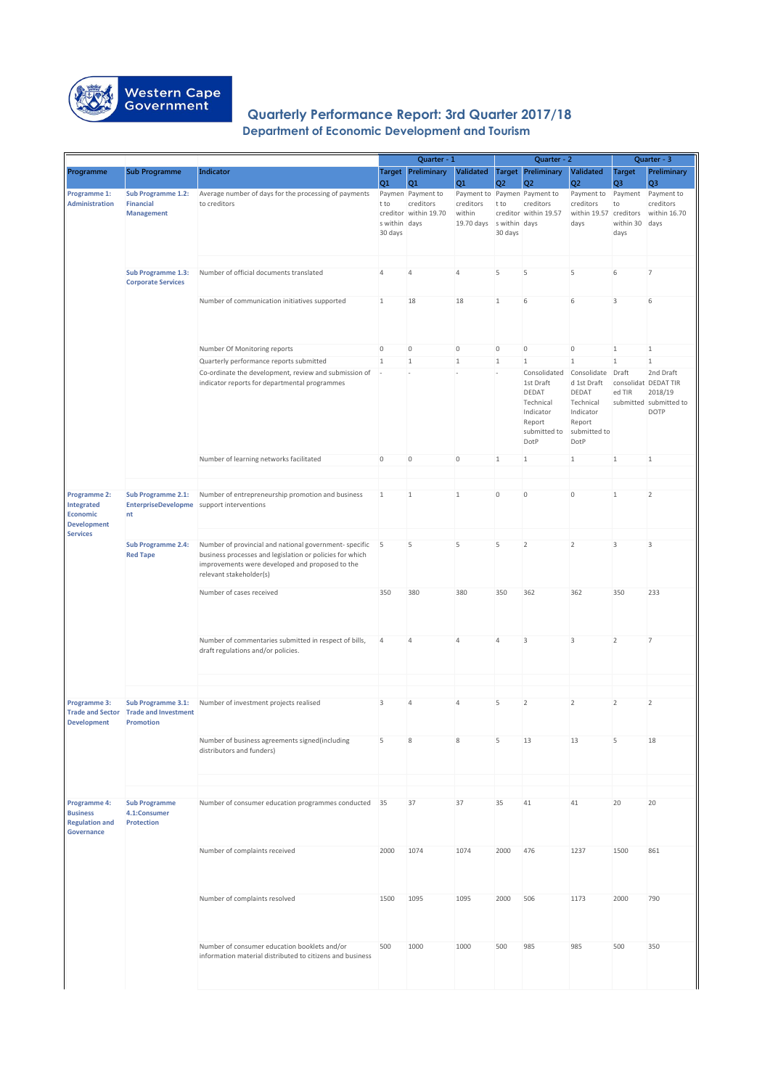|                                       |                                           |                                                                                                           |                          | Quarter - 1                                 |                              |                | Quarter - 2                                 |                             |                                 | Quarter - 3                       |
|---------------------------------------|-------------------------------------------|-----------------------------------------------------------------------------------------------------------|--------------------------|---------------------------------------------|------------------------------|----------------|---------------------------------------------|-----------------------------|---------------------------------|-----------------------------------|
| Programme                             | <b>Sub Programme</b>                      | <b>Indicator</b>                                                                                          | Q1                       | <b>Target</b> Preliminary<br>Q <sub>1</sub> | Validated<br>Q1              | Q <sub>2</sub> | <b>Target Preliminary</b><br>Q <sub>2</sub> | Validated<br>Q <sub>2</sub> | <b>Target</b><br>Q <sub>3</sub> | Preliminary<br>Q <sub>3</sub>     |
| Programme 1:                          | <b>Sub Programme 1.2:</b>                 | Average number of days for the processing of payments                                                     |                          | Paymen Payment to                           | Payment to Paymen Payment to |                |                                             | Payment to                  | Payment                         | Payment to                        |
| <b>Administration</b>                 | <b>Financial</b>                          | to creditors                                                                                              | t to                     | creditors                                   | creditors                    | t to           | creditors                                   | creditors                   | to                              | creditors                         |
|                                       | <b>Management</b>                         |                                                                                                           |                          | creditor within 19.70                       | within                       |                | creditor within 19.57                       | within 19.57 creditors      |                                 | within 16.70                      |
|                                       |                                           |                                                                                                           | s within days            |                                             | 19.70 days swithin days      |                |                                             | days                        | within 30                       | days                              |
|                                       |                                           |                                                                                                           | 30 days                  |                                             |                              | 30 days        |                                             |                             | days                            |                                   |
|                                       |                                           |                                                                                                           |                          |                                             |                              |                |                                             |                             |                                 |                                   |
|                                       |                                           |                                                                                                           |                          |                                             |                              |                |                                             |                             |                                 |                                   |
|                                       | <b>Sub Programme 1.3:</b>                 | Number of official documents translated                                                                   | $\overline{4}$           | 4                                           | $\overline{4}$               | 5              | 5                                           | 5                           | 6                               | 7                                 |
|                                       | <b>Corporate Services</b>                 |                                                                                                           |                          |                                             |                              |                |                                             |                             |                                 |                                   |
|                                       |                                           |                                                                                                           |                          |                                             |                              |                |                                             |                             |                                 |                                   |
|                                       |                                           | Number of communication initiatives supported                                                             | $\mathbf{1}$             | 18                                          | 18                           | $\mathbf{1}$   | 6                                           | 6                           | 3                               | 6                                 |
|                                       |                                           |                                                                                                           |                          |                                             |                              |                |                                             |                             |                                 |                                   |
|                                       |                                           |                                                                                                           |                          |                                             |                              |                |                                             |                             |                                 |                                   |
|                                       |                                           |                                                                                                           |                          |                                             |                              |                |                                             |                             |                                 |                                   |
|                                       |                                           | Number Of Monitoring reports                                                                              | $\mathbf 0$              | $\overline{0}$                              | $\mathbf 0$                  | $\overline{0}$ | $\mathbf{0}$                                | $\overline{0}$              | $\mathbf{1}$                    | 1                                 |
|                                       |                                           | Quarterly performance reports submitted                                                                   | $\mathbf{1}$             | 1                                           | $\mathbf{1}$                 | $\mathbf{1}$   | 1                                           | $\mathbf{1}$                | $\mathbf{1}$                    | 1                                 |
|                                       |                                           | Co-ordinate the development, review and submission of                                                     | $\overline{\phantom{a}}$ |                                             |                              |                | Consolidated                                | Consolidate<br>d 1st Draft  | Draft                           | 2nd Draft<br>consolidat DEDAT TIR |
|                                       |                                           | indicator reports for departmental programmes                                                             |                          |                                             |                              |                | 1st Draft<br>DEDAT                          | <b>DEDAT</b>                | ed TIR                          | 2018/19                           |
|                                       |                                           |                                                                                                           |                          |                                             |                              |                | Technical                                   | Technical                   |                                 | submitted submitted to            |
|                                       |                                           |                                                                                                           |                          |                                             |                              |                | Indicator                                   | Indicator                   |                                 | <b>DOTP</b>                       |
|                                       |                                           |                                                                                                           |                          |                                             |                              |                | Report                                      | Report                      |                                 |                                   |
|                                       |                                           |                                                                                                           |                          |                                             |                              |                | submitted to                                | submitted to                |                                 |                                   |
|                                       |                                           |                                                                                                           |                          |                                             |                              |                | DotP                                        | DotP                        |                                 |                                   |
|                                       |                                           | Number of learning networks facilitated                                                                   | $\overline{0}$           | $\overline{0}$                              | $\mathbf 0$                  | $\mathbf{1}$   | $\mathbf{1}$                                | $\mathbf{1}$                | 1                               | $\mathbf{1}$                      |
|                                       |                                           |                                                                                                           |                          |                                             |                              |                |                                             |                             |                                 |                                   |
|                                       |                                           |                                                                                                           |                          |                                             |                              |                |                                             |                             |                                 |                                   |
| Programme 2:                          | <b>Sub Programme 2.1:</b>                 | Number of entrepreneurship promotion and business                                                         | 1                        | 1                                           | 1                            | $\mathbf 0$    | $\overline{0}$                              | $\overline{0}$              | 1                               | $\overline{2}$                    |
| Integrated                            | EnterpriseDevelopme support interventions |                                                                                                           |                          |                                             |                              |                |                                             |                             |                                 |                                   |
| <b>Economic</b><br><b>Development</b> | nt                                        |                                                                                                           |                          |                                             |                              |                |                                             |                             |                                 |                                   |
| <b>Services</b>                       |                                           |                                                                                                           |                          |                                             |                              |                |                                             |                             |                                 |                                   |
|                                       | <b>Sub Programme 2.4:</b>                 | Number of provincial and national government-specific                                                     | 5                        | 5                                           | 5                            | 5              | 2                                           | $\overline{2}$              | 3                               | 3                                 |
|                                       | <b>Red Tape</b>                           | business processes and legislation or policies for which                                                  |                          |                                             |                              |                |                                             |                             |                                 |                                   |
|                                       |                                           | improvements were developed and proposed to the                                                           |                          |                                             |                              |                |                                             |                             |                                 |                                   |
|                                       |                                           | relevant stakeholder(s)                                                                                   |                          |                                             |                              |                |                                             |                             |                                 |                                   |
|                                       |                                           | Number of cases received                                                                                  | 350                      | 380                                         | 380                          | 350            | 362                                         | 362                         | 350                             | 233                               |
|                                       |                                           |                                                                                                           |                          |                                             |                              |                |                                             |                             |                                 |                                   |
|                                       |                                           |                                                                                                           |                          |                                             |                              |                |                                             |                             |                                 |                                   |
|                                       |                                           |                                                                                                           |                          |                                             |                              |                |                                             |                             |                                 |                                   |
|                                       |                                           | Number of commentaries submitted in respect of bills,                                                     | 4                        | 4                                           | $\overline{4}$               | $\overline{4}$ | 3                                           | 3                           | $\overline{2}$                  | 7                                 |
|                                       |                                           | draft regulations and/or policies.                                                                        |                          |                                             |                              |                |                                             |                             |                                 |                                   |
|                                       |                                           |                                                                                                           |                          |                                             |                              |                |                                             |                             |                                 |                                   |
|                                       |                                           |                                                                                                           |                          |                                             |                              |                |                                             |                             |                                 |                                   |
|                                       |                                           |                                                                                                           |                          |                                             |                              |                |                                             |                             |                                 |                                   |
| Programme 3:                          | <b>Sub Programme 3.1:</b>                 | Number of investment projects realised                                                                    | 3                        | 4                                           | $\overline{4}$               | 5              | $\overline{2}$                              | $\overline{2}$              | $\overline{2}$                  | $\overline{2}$                    |
| <b>Trade and Sector</b>               | <b>Trade and Investment</b>               |                                                                                                           |                          |                                             |                              |                |                                             |                             |                                 |                                   |
| <b>Development</b>                    | <b>Promotion</b>                          |                                                                                                           |                          |                                             |                              |                |                                             |                             |                                 |                                   |
|                                       |                                           |                                                                                                           |                          |                                             |                              |                |                                             |                             |                                 |                                   |
|                                       |                                           | Number of business agreements signed(including<br>distributors and funders)                               | 5                        | 8                                           | 8                            | 5              | 13                                          | 13                          | 5                               | 18                                |
|                                       |                                           |                                                                                                           |                          |                                             |                              |                |                                             |                             |                                 |                                   |
|                                       |                                           |                                                                                                           |                          |                                             |                              |                |                                             |                             |                                 |                                   |
|                                       |                                           |                                                                                                           |                          |                                             |                              |                |                                             |                             |                                 |                                   |
|                                       |                                           |                                                                                                           |                          |                                             |                              |                |                                             |                             |                                 |                                   |
| Programme 4:<br><b>Business</b>       | <b>Sub Programme</b><br>4.1:Consumer      | Number of consumer education programmes conducted 35                                                      |                          | 37                                          | 37                           | 35             | 41                                          | 41                          | 20                              | 20                                |
| <b>Regulation and</b>                 | <b>Protection</b>                         |                                                                                                           |                          |                                             |                              |                |                                             |                             |                                 |                                   |
| <b>Governance</b>                     |                                           |                                                                                                           |                          |                                             |                              |                |                                             |                             |                                 |                                   |
|                                       |                                           |                                                                                                           |                          |                                             |                              |                |                                             |                             |                                 |                                   |
|                                       |                                           | Number of complaints received                                                                             | 2000                     | 1074                                        | 1074                         | 2000           | 476                                         | 1237                        | 1500                            | 861                               |
|                                       |                                           |                                                                                                           |                          |                                             |                              |                |                                             |                             |                                 |                                   |
|                                       |                                           |                                                                                                           |                          |                                             |                              |                |                                             |                             |                                 |                                   |
|                                       |                                           |                                                                                                           |                          |                                             |                              |                |                                             |                             |                                 |                                   |
|                                       |                                           | Number of complaints resolved                                                                             | 1500                     | 1095                                        | 1095                         | 2000           | 506                                         | 1173                        | 2000                            | 790                               |
|                                       |                                           |                                                                                                           |                          |                                             |                              |                |                                             |                             |                                 |                                   |
|                                       |                                           |                                                                                                           |                          |                                             |                              |                |                                             |                             |                                 |                                   |
|                                       |                                           |                                                                                                           |                          |                                             |                              |                |                                             |                             |                                 |                                   |
|                                       |                                           | Number of consumer education booklets and/or<br>information material distributed to citizens and business | 500                      | 1000                                        | 1000                         | 500            | 985                                         | 985                         | 500                             | 350                               |
|                                       |                                           |                                                                                                           |                          |                                             |                              |                |                                             |                             |                                 |                                   |
|                                       |                                           |                                                                                                           |                          |                                             |                              |                |                                             |                             |                                 |                                   |
|                                       |                                           |                                                                                                           |                          |                                             |                              |                |                                             |                             |                                 |                                   |



## **Quarterly Performance Report: 3rd Quarter 2017/18 Department of Economic Development and Tourism**